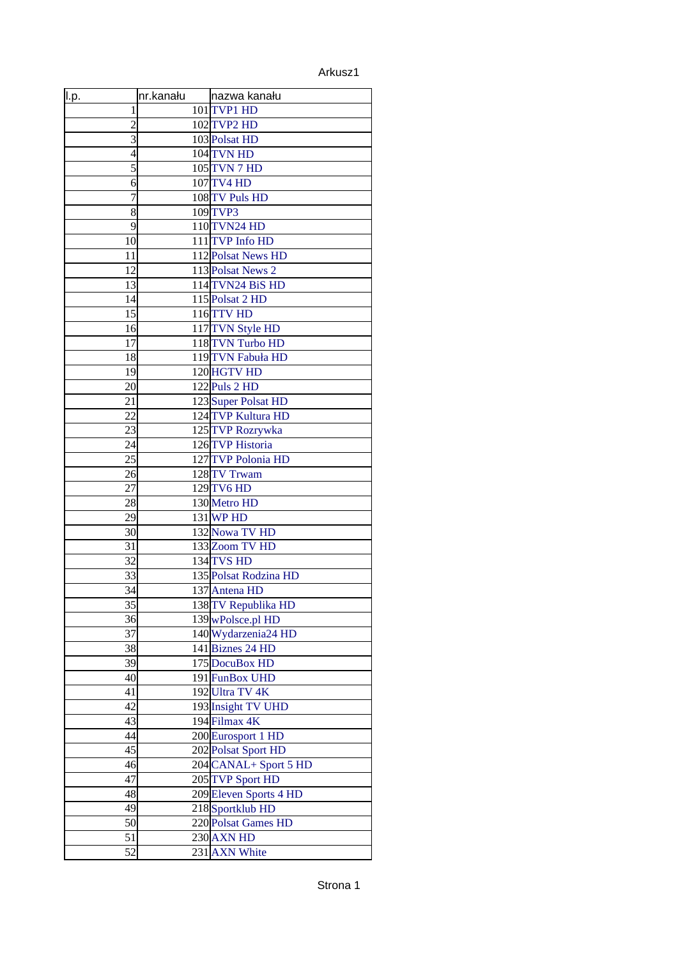## Arkusz1

| <u>ll.p.</u>   | nr.kanału | nazwa kanału           |
|----------------|-----------|------------------------|
| 1              |           | 101 TVP1 HD            |
| $\overline{2}$ |           | 102 TVP2 HD            |
| 3              |           | 103 Polsat HD          |
| 4              |           | 104 TVN HD             |
| 5              |           | 105 TVN 7 HD           |
| 6              |           | 107 TV4 HD             |
| 7              |           | 108 TV Puls HD         |
| 8              |           | 109 TVP3               |
| 9              |           | 110 TVN24 HD           |
| 10             |           | 111 TVP Info HD        |
| 11             |           | 112 Polsat News HD     |
| 12             |           | 113 Polsat News 2      |
| 13             |           | 114TVN24 BiS HD        |
| 14             |           | 115 Polsat 2 HD        |
| 15             |           | 116 TTV HD             |
| 16             |           | 117 TVN Style HD       |
| 17             |           | 118TVN Turbo HD        |
| 18             |           | 119TVN Fabuła HD       |
| 19             |           | 120 HGTV HD            |
| 20             |           | $122$ Puls 2 HD        |
| 21             |           | 123Super Polsat HD     |
| 22             |           | 124 TVP Kultura HD     |
| 23             |           | 125TVP Rozrywka        |
| 24             |           | 126 TVP Historia       |
| 25             |           | 127TVP Polonia HD      |
| 26             |           | 128 TV Trwam           |
| 27             |           | 129 TV6 HD             |
| 28             |           | 130 Metro HD           |
| 29             |           | $131$ WP HD            |
| 30             |           | 132 Nowa TV HD         |
| 31             |           | 133 Zoom TV HD         |
| 32             |           | 134 TVS HD             |
| 33             |           | 135 Polsat Rodzina HD  |
| 34             |           | 137 Antena HD          |
| 35             |           | 138 TV Republika HD    |
| 36             |           | 139 wPolsce.pl HD      |
| 37             |           | 140 Wydarzenia 24 HD   |
| 38             |           | 141 Biznes 24 HD       |
| 39             |           | 175 DocuBox HD         |
| 40             |           | 191 FunBox UHD         |
| 41             |           | 192Ultra TV 4K         |
| 42             |           | 193 Insight TV UHD     |
| 43             |           | 194 Filmax 4K          |
| 44             |           | 200 Eurosport 1 HD     |
| 45             |           | 202 Polsat Sport HD    |
| 46             |           | 204 CANAL+ Sport 5 HD  |
| 47             |           | 205 TVP Sport HD       |
| 48             |           | 209 Eleven Sports 4 HD |
| 49             |           | 218 Sportklub HD       |
| 50             |           | 220 Polsat Games HD    |
| 51             |           | $230$ AXN HD           |
| 52             |           | 231 AXN White          |
|                |           |                        |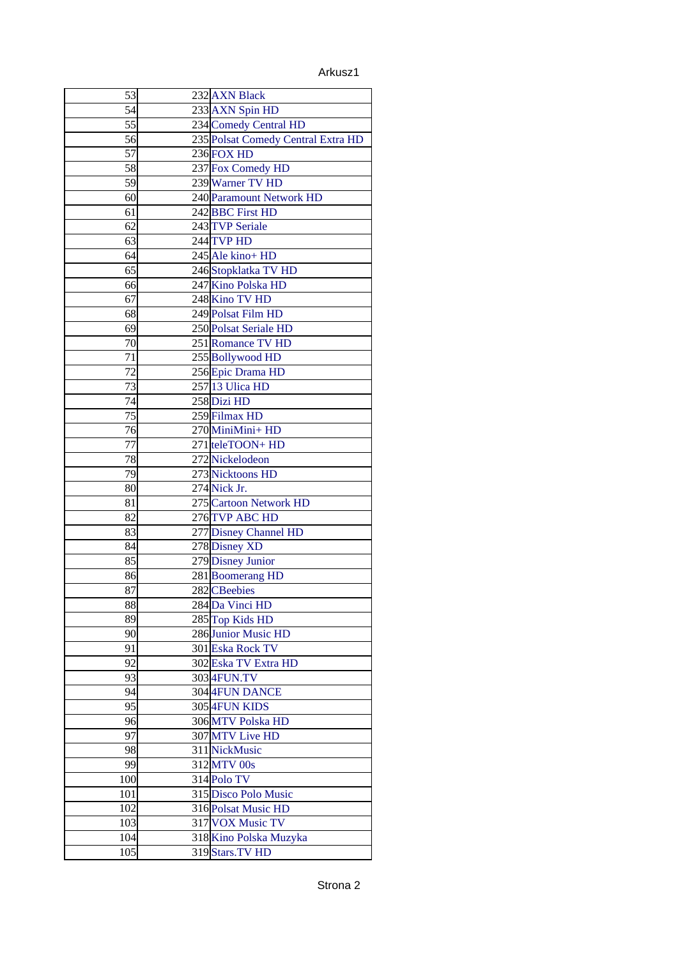Arkusz1

| 53              | 232 AXN Black                      |
|-----------------|------------------------------------|
| 54              | 233 AXN Spin HD                    |
| 55              | 234 Comedy Central HD              |
| 56              | 235 Polsat Comedy Central Extra HD |
| 57              | $236$ FOX HD                       |
| 58              | 237 Fox Comedy HD                  |
| 59              | 239 Warner TV HD                   |
| 60              | 240 Paramount Network HD           |
| 61              | 242BBC First HD                    |
| 62              | 243 TVP Seriale                    |
| 63              | 244 TVP HD                         |
| 64              | 245 Ale kino+ HD                   |
| 65              | 246 Stopklatka TV HD               |
| 66              | 247 Kino Polska HD                 |
| 67              | 248 Kino TV HD                     |
| 68              | 249 Polsat Film HD                 |
| 69              | 250 Polsat Seriale HD              |
| 70              | 251 Romance TV HD                  |
| 71              | 255 Bollywood HD                   |
| $\overline{72}$ | 256 Epic Drama HD                  |
| 73              | 257 13 Ulica HD                    |
| 74              | 258 Dizi HD                        |
| 75              | 259 Filmax HD                      |
| 76              | 270MiniMini+HD                     |
| 77              | 271 teleTOON+ HD                   |
| 78              | 272 Nickelodeon                    |
| $\overline{79}$ | 273 Nicktoons HD                   |
| 80              | 274 Nick Jr.                       |
| 81              | 275 Cartoon Network HD             |
| 82              | 276 TVP ABC HD                     |
| 83              | 277 Disney Channel HD              |
| 84              | 278 Disney XD                      |
| 85              | 279 Disney Junior                  |
| 86              | 281 Boomerang HD                   |
| 87              | 282 CBeebies                       |
| 88              | 284 Da Vinci HD                    |
| 89              | 285 Top Kids HD                    |
| 90              | 286 Junior Music HD                |
| 91              | 301 Eska Rock TV                   |
| 92              | 302 Eska TV Extra HD               |
| 93              | 3034FUN.TV                         |
| 94              | 304 4FUN DANCE                     |
| 95              | 305 4FUN KIDS                      |
| 96              | 306 MTV Polska HD                  |
| 97              | 307 MTV Live HD                    |
| 98              | 311 NickMusic                      |
| 99              | 312 MTV 00s                        |
| 100             | 314 Polo TV                        |
| 101             | 315 Disco Polo Music               |
| 102             | 316 Polsat Music HD                |
| 103             | 317 VOX Music TV                   |
| 104             | 318 Kino Polska Muzyka             |
| 105             | 319 Stars. TV HD                   |
|                 |                                    |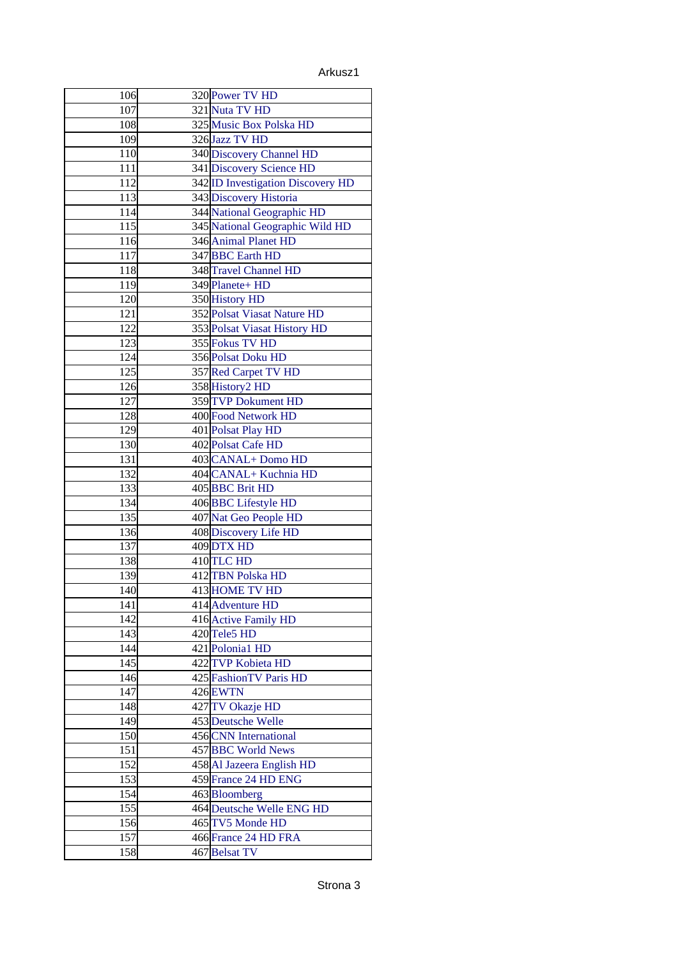Arkusz1

| 106 | 320 Power TV HD                   |
|-----|-----------------------------------|
| 107 | 321 Nuta TV HD                    |
| 108 | 325 Music Box Polska HD           |
| 109 | 326 Jazz TV HD                    |
| 110 | 340 Discovery Channel HD          |
| 111 | 341 Discovery Science HD          |
| 112 | 342 ID Investigation Discovery HD |
| 113 | 343 Discovery Historia            |
| 114 | 344 National Geographic HD        |
| 115 | 345 National Geographic Wild HD   |
| 116 | 346 Animal Planet HD              |
| 117 | 347 BBC Earth HD                  |
| 118 | 348 Travel Channel HD             |
| 119 | 349 Planete+ HD                   |
| 120 | 350 History HD                    |
| 121 | 352 Polsat Viasat Nature HD       |
| 122 | 353 Polsat Viasat History HD      |
| 123 | 355 Fokus TV HD                   |
| 124 | 356 Polsat Doku HD                |
| 125 | 357 Red Carpet TV HD              |
| 126 | 358 History2 HD                   |
| 127 | 359 TVP Dokument HD               |
| 128 | 400 Food Network HD               |
| 129 | 401 Polsat Play HD                |
| 130 | 402 Polsat Cafe HD                |
| 131 | 403 CANAL + Domo HD               |
| 132 | 404 CANAL + Kuchnia HD            |
| 133 | 405 BBC Brit HD                   |
| 134 | 406 BBC Lifestyle HD              |
| 135 | 407 Nat Geo People HD             |
| 136 | 408 Discovery Life HD             |
| 137 | 409 DTX HD                        |
| 138 | 410 TLC HD                        |
| 139 | 412TBN Polska HD                  |
| 140 | 413 HOME TV HD                    |
| 141 | 414 Adventure HD                  |
| 142 | 416 Active Family HD              |
| 143 | 420 Tele5 HD                      |
| 144 | 421 Polonia1 HD                   |
| 145 | 422 TVP Kobieta HD                |
| 146 | 425 FashionTV Paris HD            |
| 147 | 426EWTN                           |
| 148 | 427TV Okazje HD                   |
| 149 | 453 Deutsche Welle                |
| 150 | 456 CNN International             |
| 151 | 457 BBC World News                |
| 152 | 458 Al Jazeera English HD         |
| 153 | 459 France 24 HD ENG              |
| 154 | 463Bloomberg                      |
| 155 | 464 Deutsche Welle ENG HD         |
| 156 | 465 TV5 Monde HD                  |
| 157 | 466 France 24 HD FRA              |
| 158 | 467Belsat TV                      |
|     |                                   |